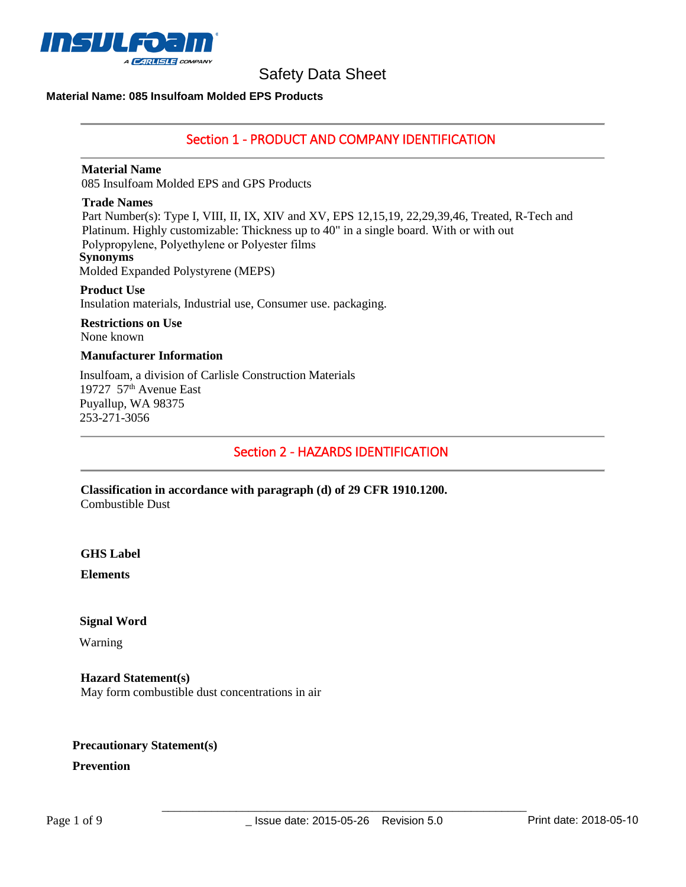

### **Material Name: 085 Insulfoam Molded EPS Products**

## Section 1 - PRODUCT AND COMPANY IDENTIFICATION

#### **Material Name**

085 Insulfoam Molded EPS and GPS Products

#### **Trade Names**

Part Number(s): Type I, VIII, II, IX, XIV and XV, EPS 12,15,19, 22,29,39,46, Treated, R-Tech and Platinum. Highly customizable: Thickness up to 40" in a single board. With or with out Polypropylene, Polyethylene or Polyester films **Synonyms** Molded Expanded Polystyrene (MEPS)

#### **Product Use**  Insulation materials, Industrial use, Consumer use. packaging.

# **Restrictions on Use**

None known

## **Manufacturer Information**

Insulfoam, a division of Carlisle Construction Materials 19727 57<sup>th</sup> Avenue East Puyallup, WA 98375 253-271-3056

Section 2 - HAZARDS IDENTIFICATION

**Classification in accordance with paragraph (d) of 29 CFR 1910.1200.**  Combustible Dust

### **GHS Label**

**Elements** 

## **Signal Word**

Warning

### **Hazard Statement(s)**  May form combustible dust concentrations in air

## **Precautionary Statement(s)**

## **Prevention**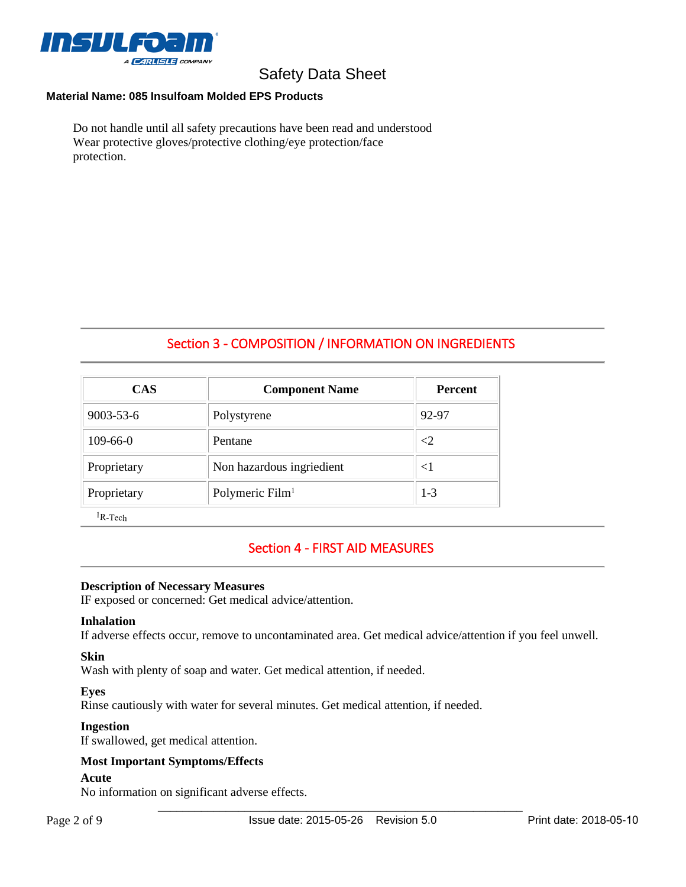

## **Material Name: 085 Insulfoam Molded EPS Products**

Do not handle until all safety precautions have been read and understood Wear protective gloves/protective clothing/eye protection/face protection.

## Section 3 - COMPOSITION / INFORMATION ON INGREDIENTS

| <b>CAS</b>  | <b>Component Name</b>       | <b>Percent</b> |
|-------------|-----------------------------|----------------|
| 9003-53-6   | Polystyrene                 | 92-97          |
| 109-66-0    | Pentane                     | ${<}2$         |
| Proprietary | Non hazardous ingriedient   | $<$ 1          |
| Proprietary | Polymeric Film <sup>1</sup> | $1 - 3$        |

<sup>1</sup>R-Tech

## Section 4 - FIRST AID MEASURES

#### **Description of Necessary Measures**

IF exposed or concerned: Get medical advice/attention.

#### **Inhalation**

If adverse effects occur, remove to uncontaminated area. Get medical advice/attention if you feel unwell.

#### **Skin**

Wash with plenty of soap and water. Get medical attention, if needed.

#### **Eyes**

Rinse cautiously with water for several minutes. Get medical attention, if needed.

#### **Ingestion**

If swallowed, get medical attention.

### **Most Important Symptoms/Effects**

#### **Acute**

No information on significant adverse effects.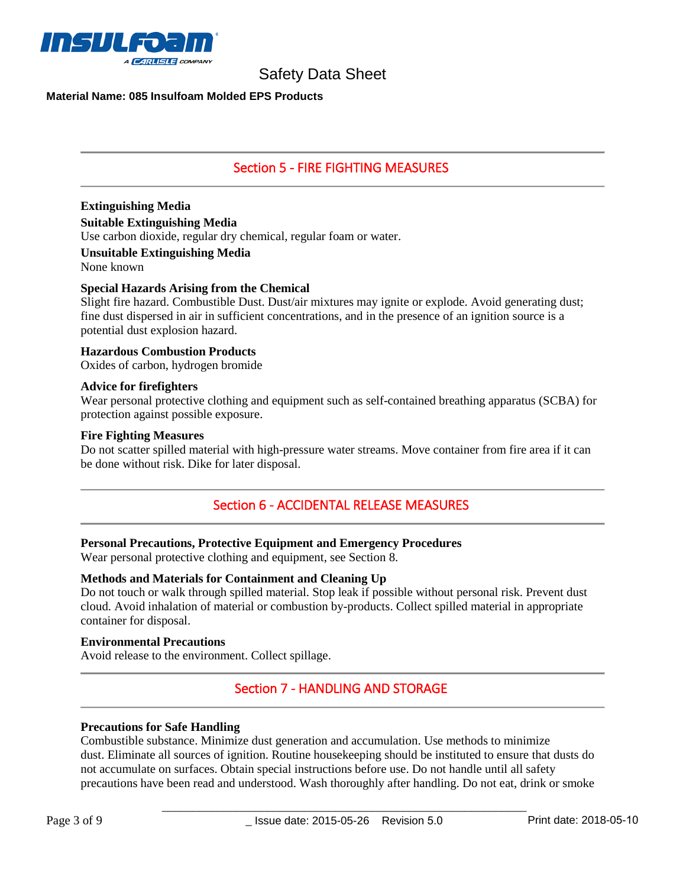

## **Material Name: 085 Insulfoam Molded EPS Products**

## Section 5 - FIRE FIGHTING MEASURES

# **Extinguishing Media**

**Suitable Extinguishing Media** 

Use carbon dioxide, regular dry chemical, regular foam or water.

### **Unsuitable Extinguishing Media**

None known

### **Special Hazards Arising from the Chemical**

Slight fire hazard. Combustible Dust. Dust/air mixtures may ignite or explode. Avoid generating dust; fine dust dispersed in air in sufficient concentrations, and in the presence of an ignition source is a potential dust explosion hazard.

## **Hazardous Combustion Products**

Oxides of carbon, hydrogen bromide

#### **Advice for firefighters**

Wear personal protective clothing and equipment such as self-contained breathing apparatus (SCBA) for protection against possible exposure.

#### **Fire Fighting Measures**

Do not scatter spilled material with high-pressure water streams. Move container from fire area if it can be done without risk. Dike for later disposal.

## Section 6 - ACCIDENTAL RELEASE MEASURES

### **Personal Precautions, Protective Equipment and Emergency Procedures**

Wear personal protective clothing and equipment, see Section 8.

### **Methods and Materials for Containment and Cleaning Up**

Do not touch or walk through spilled material. Stop leak if possible without personal risk. Prevent dust cloud. Avoid inhalation of material or combustion by-products. Collect spilled material in appropriate container for disposal.

#### **Environmental Precautions**

Avoid release to the environment. Collect spillage.

## Section 7 - HANDLING AND STORAGE

### **Precautions for Safe Handling**

Combustible substance. Minimize dust generation and accumulation. Use methods to minimize dust. Eliminate all sources of ignition. Routine housekeeping should be instituted to ensure that dusts do not accumulate on surfaces. Obtain special instructions before use. Do not handle until all safety precautions have been read and understood. Wash thoroughly after handling. Do not eat, drink or smoke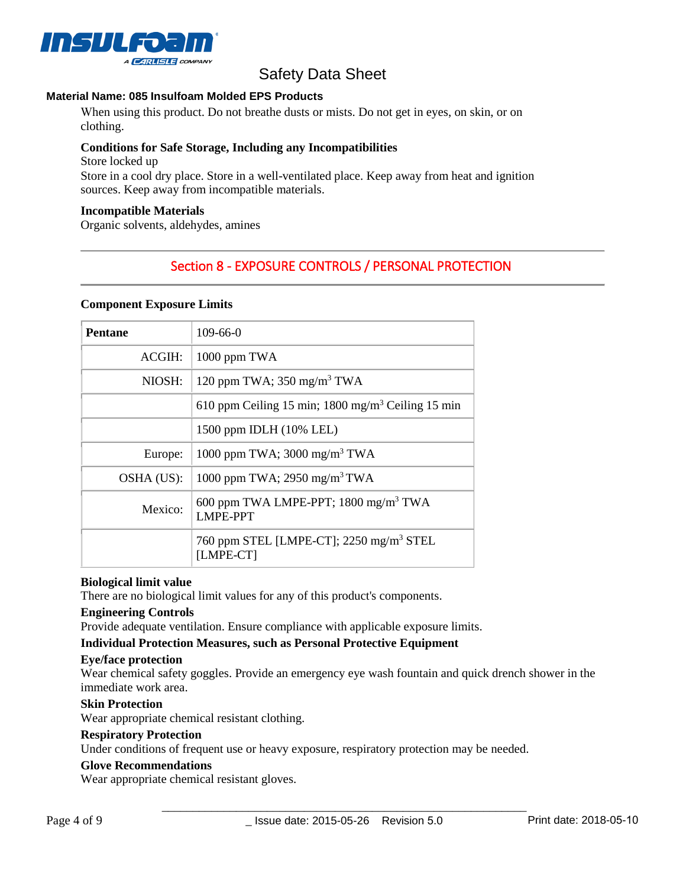

## **Material Name: 085 Insulfoam Molded EPS Products**

When using this product. Do not breathe dusts or mists. Do not get in eyes, on skin, or on clothing.

## **Conditions for Safe Storage, Including any Incompatibilities**

Store locked up Store in a cool dry place. Store in a well-ventilated place. Keep away from heat and ignition sources. Keep away from incompatible materials.

## **Incompatible Materials**

Organic solvents, aldehydes, amines

# Section 8 - EXPOSURE CONTROLS / PERSONAL PROTECTION

#### **Component Exposure Limits**

| <b>Pentane</b> | $109-66-0$                                                            |
|----------------|-----------------------------------------------------------------------|
| ACGIH:         | 1000 ppm TWA                                                          |
| NIOSH:         | 120 ppm TWA; $350$ mg/m <sup>3</sup> TWA                              |
|                | 610 ppm Ceiling 15 min; 1800 mg/m <sup>3</sup> Ceiling 15 min         |
|                | 1500 ppm IDLH (10% LEL)                                               |
| Europe:        | 1000 ppm TWA; 3000 mg/m <sup>3</sup> TWA                              |
| OSHA (US):     | 1000 ppm TWA; 2950 mg/m <sup>3</sup> TWA                              |
| Mexico:        | 600 ppm TWA LMPE-PPT; $1800$ mg/m <sup>3</sup> TWA<br><b>LMPE-PPT</b> |
|                | 760 ppm STEL [LMPE-CT]; 2250 mg/m <sup>3</sup> STEL<br>[LMPE-CT]      |

#### **Biological limit value**

There are no biological limit values for any of this product's components.

#### **Engineering Controls**

Provide adequate ventilation. Ensure compliance with applicable exposure limits.

## **Individual Protection Measures, such as Personal Protective Equipment**

#### **Eye/face protection**

Wear chemical safety goggles. Provide an emergency eye wash fountain and quick drench shower in the immediate work area.

#### **Skin Protection**

Wear appropriate chemical resistant clothing.

### **Respiratory Protection**

Under conditions of frequent use or heavy exposure, respiratory protection may be needed.

### **Glove Recommendations**

Wear appropriate chemical resistant gloves.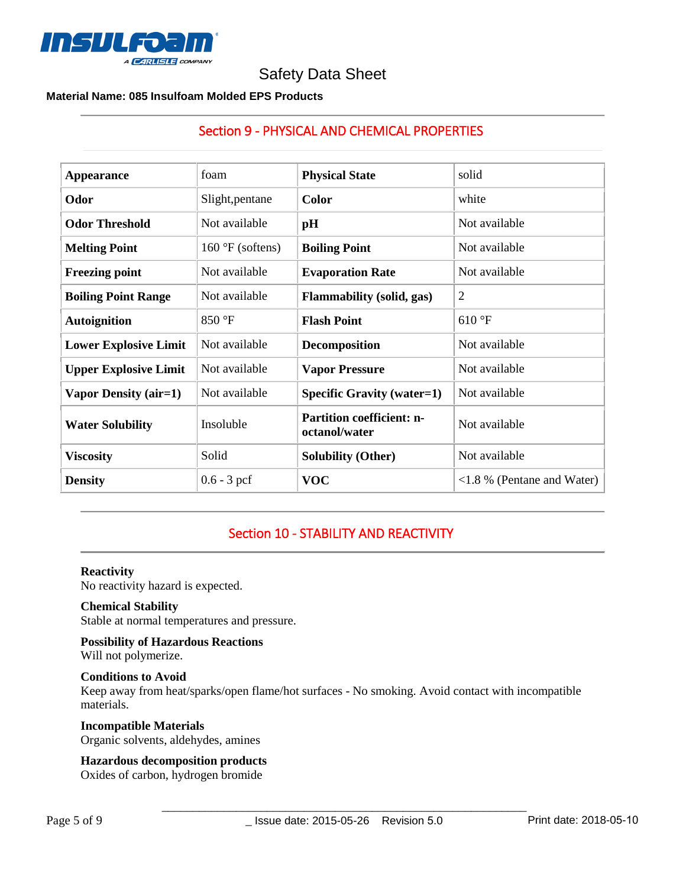

## **Material Name: 085 Insulfoam Molded EPS Products**

| <b>Appearance</b>            | foam                       | <b>Physical State</b>                             | solid                                       |
|------------------------------|----------------------------|---------------------------------------------------|---------------------------------------------|
| Odor                         | Slight, pentane            | <b>Color</b>                                      | white                                       |
| <b>Odor Threshold</b>        | Not available              | pH                                                | Not available                               |
| <b>Melting Point</b>         | $160 \text{ °F}$ (softens) | <b>Boiling Point</b>                              | Not available                               |
| <b>Freezing point</b>        | Not available              | <b>Evaporation Rate</b>                           | Not available                               |
| <b>Boiling Point Range</b>   | Not available              | <b>Flammability</b> (solid, gas)                  | $\overline{2}$                              |
| <b>Autoignition</b>          | 850 °F                     | <b>Flash Point</b>                                | 610 °F                                      |
| <b>Lower Explosive Limit</b> | Not available              | Decomposition                                     | Not available                               |
| <b>Upper Explosive Limit</b> | Not available              | <b>Vapor Pressure</b>                             | Not available                               |
| <b>Vapor Density (air=1)</b> | Not available              | <b>Specific Gravity (water=1)</b>                 | Not available                               |
| <b>Water Solubility</b>      | Insoluble                  | <b>Partition coefficient: n-</b><br>octanol/water | Not available                               |
| <b>Viscosity</b>             | Solid                      | <b>Solubility (Other)</b>                         | Not available                               |
| <b>Density</b>               | $0.6 - 3$ pcf              | <b>VOC</b>                                        | $\langle 1.8 \rangle$ % (Pentane and Water) |

# Section 9 - PHYSICAL AND CHEMICAL PROPERTIES

# Section 10 - STABILITY AND REACTIVITY

#### **Reactivity**

No reactivity hazard is expected.

## **Chemical Stability**

Stable at normal temperatures and pressure.

**Possibility of Hazardous Reactions** Will not polymerize.

## **Conditions to Avoid**

Keep away from heat/sparks/open flame/hot surfaces - No smoking. Avoid contact with incompatible materials.

## **Incompatible Materials**

Organic solvents, aldehydes, amines

## **Hazardous decomposition products**

Oxides of carbon, hydrogen bromide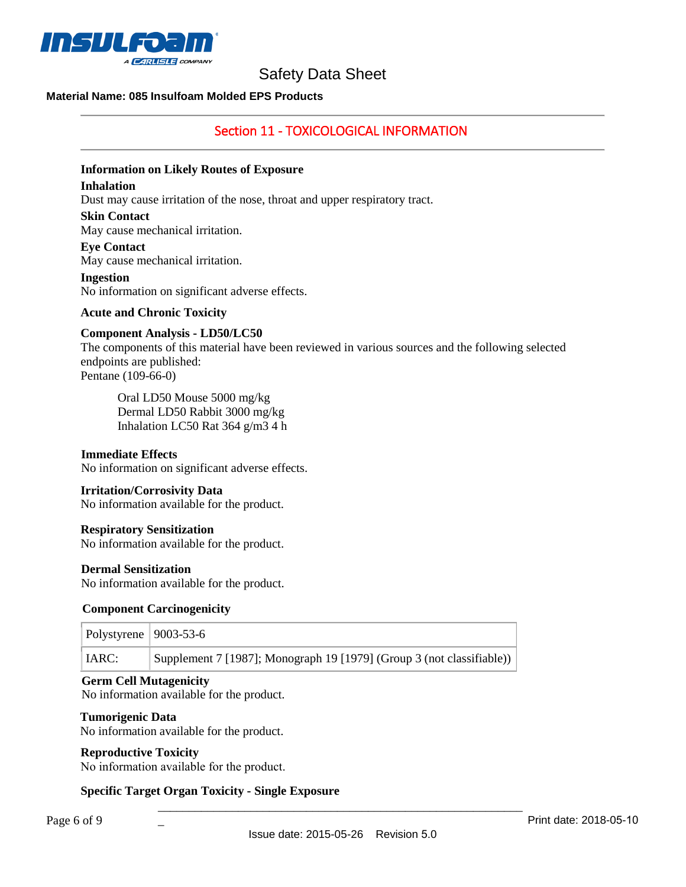

## **Material Name: 085 Insulfoam Molded EPS Products**

## Section 11 - TOXICOLOGICAL INFORMATION

#### **Information on Likely Routes of Exposure**

#### **Inhalation**

Dust may cause irritation of the nose, throat and upper respiratory tract.

#### **Skin Contact**

May cause mechanical irritation.

#### **Eye Contact**

May cause mechanical irritation.

#### **Ingestion**

No information on significant adverse effects.

#### **Acute and Chronic Toxicity**

#### **Component Analysis - LD50/LC50**

The components of this material have been reviewed in various sources and the following selected endpoints are published: Pentane (109-66-0)

Oral LD50 Mouse 5000 mg/kg

Dermal LD50 Rabbit 3000 mg/kg Inhalation LC50 Rat 364 g/m3 4 h

#### **Immediate Effects**

No information on significant adverse effects.

#### **Irritation/Corrosivity Data**

No information available for the product.

#### **Respiratory Sensitization**

No information available for the product.

#### **Dermal Sensitization**

No information available for the product.

#### **Component Carcinogenicity**

| Polystyrene   $9003-53-6$ |                                                                       |
|---------------------------|-----------------------------------------------------------------------|
| IARC:                     | Supplement 7 [1987]; Monograph 19 [1979] (Group 3 (not classifiable)) |

#### **Germ Cell Mutagenicity**

No information available for the product.

#### **Tumorigenic Data**

No information available for the product.

### **Reproductive Toxicity**

No information available for the product.

 $\overline{a}$ 

## **Specific Target Organ Toxicity - Single Exposure**

\_\_\_\_\_\_\_\_\_\_\_\_\_\_\_\_\_\_\_\_\_\_\_\_\_\_\_\_\_\_\_\_\_\_\_\_\_\_\_\_\_\_\_\_\_\_\_\_\_\_\_\_\_\_\_\_\_\_\_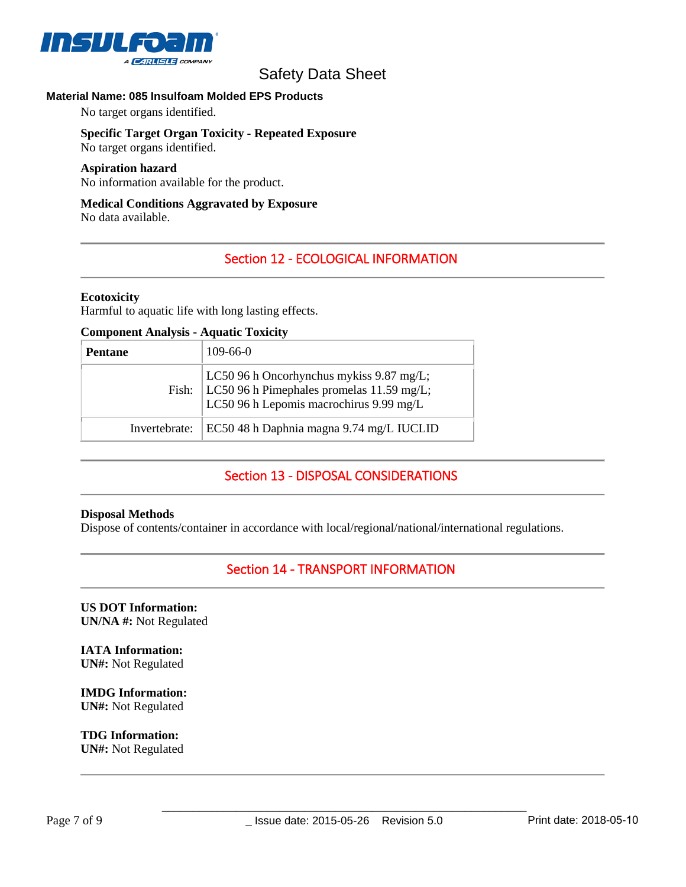

## **Material Name: 085 Insulfoam Molded EPS Products**

No target organs identified.

# **Specific Target Organ Toxicity - Repeated Exposure**

No target organs identified.

#### **Aspiration hazard**

No information available for the product.

## **Medical Conditions Aggravated by Exposure**

No data available.

## Section 12 - ECOLOGICAL INFORMATION

#### **Ecotoxicity**

Harmful to aquatic life with long lasting effects.

#### **Component Analysis - Aquatic Toxicity**

| <b>Pentane</b> | $109-66-0$                                                                                                                               |
|----------------|------------------------------------------------------------------------------------------------------------------------------------------|
|                | LC50 96 h Oncorhynchus mykiss 9.87 mg/L;<br>Fish: $LC50$ 96 h Pimephales promelas 11.59 mg/L;<br>LC50 96 h Lepomis macrochirus 9.99 mg/L |
| Invertebrate:  | EC50 48 h Daphnia magna 9.74 mg/L IUCLID                                                                                                 |

## Section 13 - DISPOSAL CONSIDERATIONS

#### **Disposal Methods**

Dispose of contents/container in accordance with local/regional/national/international regulations.

## Section 14 - TRANSPORT INFORMATION

**US DOT Information: UN/NA #:** Not Regulated

**IATA Information: UN#:** Not Regulated

**IMDG Information: UN#:** Not Regulated

**TDG Information: UN#:** Not Regulated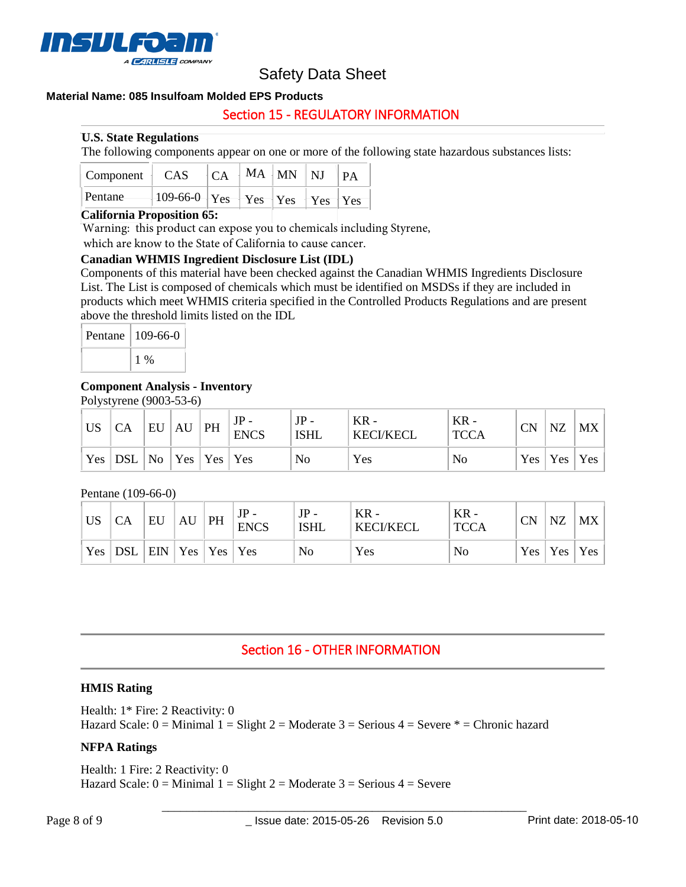

## **Material Name: 085 Insulfoam Molded EPS Products**

## Section 15 - REGULATORY INFORMATION

### **U.S. State Regulations**

The following components appear on one or more of the following state hazardous substances lists:

| $\vert$ Component $\vert$ CAS |                                                                                   |  | $ CA MA$ MM NJ $ PA$ |  |
|-------------------------------|-----------------------------------------------------------------------------------|--|----------------------|--|
| Pentane                       | $-109-66-0$ $\gamma_{es}$ $\gamma_{es}$ $\gamma_{es}$ $\gamma_{es}$ $\gamma_{es}$ |  |                      |  |

## **California Proposition 65:**

Warning: this product can expose you to chemicals including Styrene,

which are know to the State of California to cause cancer.

### **Canadian WHMIS Ingredient Disclosure List (IDL)**

Components of this material have been checked against the Canadian WHMIS Ingredients Disclosure List. The List is composed of chemicals which must be identified on MSDSs if they are included in products which meet WHMIS criteria specified in the Controlled Products Regulations and are present above the threshold limits listed on the IDL

| Pentane | $109-66-0$ |  |  |
|---------|------------|--|--|
|         | $1\%$      |  |  |

### **Component Analysis - Inventory**

Polystyrene (9003-53-6)

| <b>US</b> | CA        | EU | AU | PH                                             | <b>ENCS</b> | $JP -$<br>ISHL | KR -<br><b>KECI/KECL</b> | $KR -$<br><b>TCCA</b> | CN | NZ        | <b>MX</b>  |
|-----------|-----------|----|----|------------------------------------------------|-------------|----------------|--------------------------|-----------------------|----|-----------|------------|
|           | Yes   DSL |    |    | $\vert$ No $\vert$ Yes $\vert$ Yes $\vert$ Yes |             | No             | Yes                      | No                    |    | Yes   Yes | <b>Yes</b> |

#### Pentane (109-66-0)

| <b>US</b> | CA  | EU                      | AU | PH | <b>ENCS</b>    | $JP -$<br><b>ISHL</b> | $KR -$<br><b>KECI/KECL</b> | $KR -$<br><b>TCCA</b> | СN | <b>NZ</b> | <b>MX</b> |
|-----------|-----|-------------------------|----|----|----------------|-----------------------|----------------------------|-----------------------|----|-----------|-----------|
| Yes       | DSL | $ $ EIN $ $ Yes $ $ Yes |    |    | $\mathsf{Yes}$ | No                    | Yes                        | No                    |    | Yes   Yes | Yes       |

## Section 16 - OTHER INFORMATION

#### **HMIS Rating**

Health: 1\* Fire: 2 Reactivity: 0 Hazard Scale:  $0 =$  Minimal  $1 =$  Slight  $2 =$  Moderate  $3 =$  Serious  $4 =$  Severe  $* =$  Chronic hazard

### **NFPA Ratings**

Health: 1 Fire: 2 Reactivity: 0 Hazard Scale:  $0 =$  Minimal  $1 =$  Slight  $2 =$  Moderate  $3 =$  Serious  $4 =$  Severe